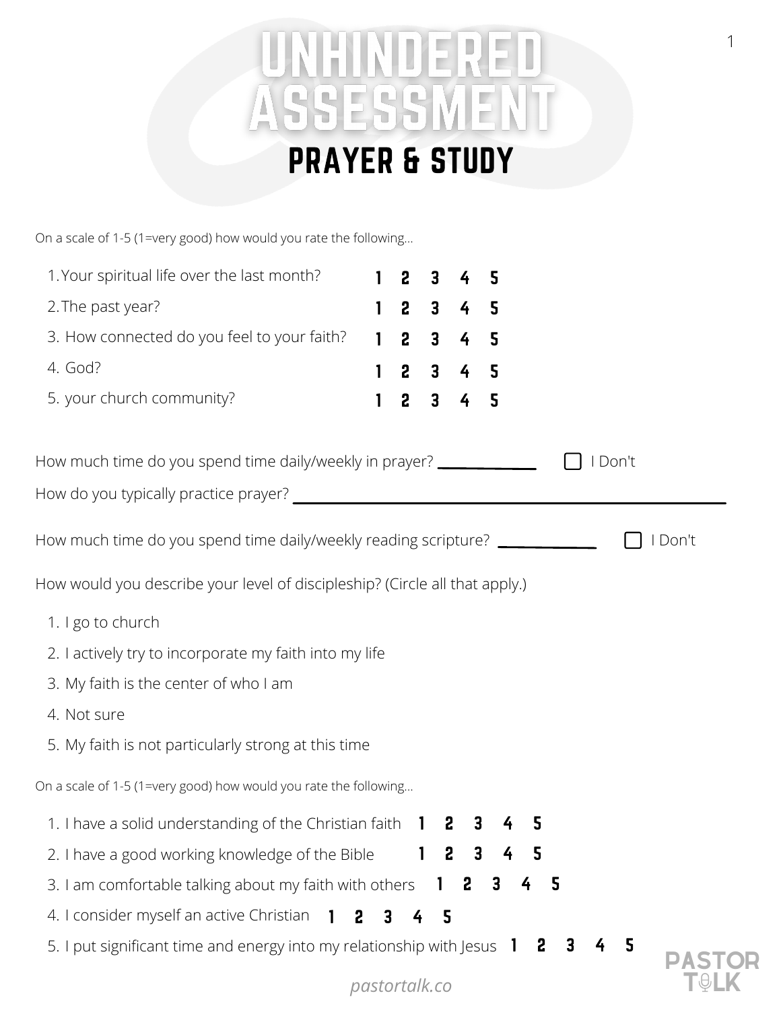## UNHINDERED ASSESSMEN PRAYER & STUDY

| On a scale of 1-5 (1=very good) how would you rate the following |  |
|------------------------------------------------------------------|--|
|------------------------------------------------------------------|--|

| 1. Your spiritual life over the last month?                                 | $\mathbf{1}$   | $2^{\circ}$ | 3              | 4                   | 5 |   |     |         |         |  |
|-----------------------------------------------------------------------------|----------------|-------------|----------------|---------------------|---|---|-----|---------|---------|--|
| 2. The past year?                                                           | $\mathbf{1}$   |             |                | $2$ 3 4 5           |   |   |     |         |         |  |
| 3. How connected do you feel to your faith?                                 | $\mathbf{1}$   |             | 2 <sup>3</sup> | 4 <sub>5</sub>      |   |   |     |         |         |  |
| 4. God?                                                                     | 1              |             |                | $2 \quad 3 \quad 4$ | 5 |   |     |         |         |  |
| 5. your church community?                                                   | 1              |             |                | $2$ 3 4 5           |   |   |     |         |         |  |
| How much time do you spend time daily/weekly in prayer?                     |                |             |                |                     |   |   |     | I Don't |         |  |
|                                                                             |                |             |                |                     |   |   |     |         |         |  |
| How much time do you spend time daily/weekly reading scripture?             |                |             |                |                     |   |   |     |         | I Don't |  |
| How would you describe your level of discipleship? (Circle all that apply.) |                |             |                |                     |   |   |     |         |         |  |
| 1. I go to church                                                           |                |             |                |                     |   |   |     |         |         |  |
| 2. I actively try to incorporate my faith into my life                      |                |             |                |                     |   |   |     |         |         |  |
| 3. My faith is the center of who I am                                       |                |             |                |                     |   |   |     |         |         |  |
| 4. Not sure                                                                 |                |             |                |                     |   |   |     |         |         |  |
| 5. My faith is not particularly strong at this time                         |                |             |                |                     |   |   |     |         |         |  |
| On a scale of 1-5 (1=very good) how would you rate the following            |                |             |                |                     |   |   |     |         |         |  |
| 1. I have a solid understanding of the Christian faith $\blacksquare$       |                |             |                |                     |   |   |     |         |         |  |
| 2. I have a good working knowledge of the Bible                             |                |             | - 2            | 3                   | 4 | 5 |     |         |         |  |
| 3. I am comfortable talking about my faith with others                      |                |             |                | 12                  | 3 | 4 | - 5 |         |         |  |
| 4. I consider myself an active Christian 1                                  | 2 <sub>3</sub> |             | 4 <sub>5</sub> |                     |   |   |     |         |         |  |

5. I put significant time and energy into my relationship with Jesus  $\begin{bmatrix} 1 & 2 & 3 & 4 & 5 \end{bmatrix}$ 

 $pastortalk.co$ 

**PASTOR<br>T&LK**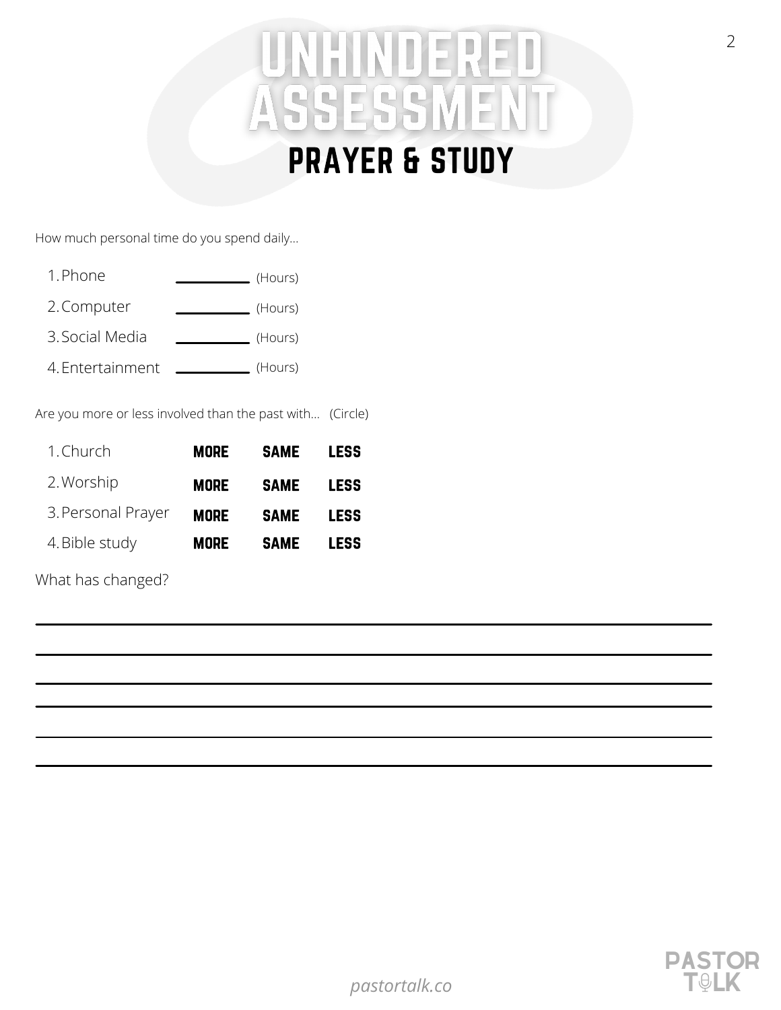## HINDEREL ASSESSMEN PRAYER & STUDY

How much personal time do you spend daily…

- 1.Phone (Hours)
- 2. Computer (Hours)
- Social Media 3. (Hours)
- Entertainment 4. (Hours)

Are you more or less involved than the past with… (Circle)

| 1. Church          | <b>MORE</b> | <b>SAME</b> | <b>LESS</b> |
|--------------------|-------------|-------------|-------------|
| 2. Worship         | <b>MORE</b> | <b>SAME</b> | <b>LESS</b> |
| 3. Personal Prayer | <b>MORE</b> | <b>SAME</b> | <b>LESS</b> |
| 4. Bible study     | <b>MORE</b> | <b>SAME</b> | <b>LESS</b> |

What has changed?

PASTOR